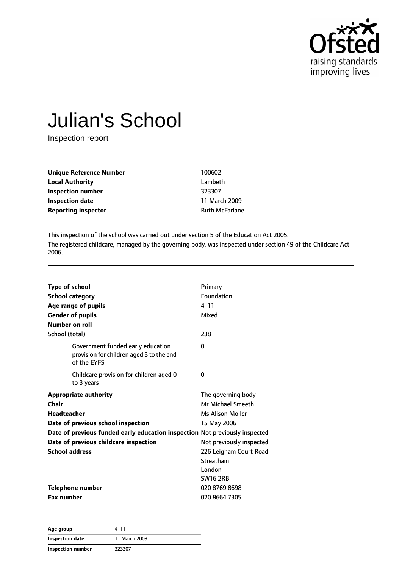

# Julian's School

Inspection report

| 100602                |
|-----------------------|
| Lambeth               |
| 323307                |
| 11 March 2009         |
| <b>Ruth McFarlane</b> |
|                       |

This inspection of the school was carried out under section 5 of the Education Act 2005. The registered childcare, managed by the governing body, was inspected under section 49 of the Childcare Act 2006.

| <b>Type of school</b>        |                                                                                              | Primary                  |
|------------------------------|----------------------------------------------------------------------------------------------|--------------------------|
| <b>School category</b>       |                                                                                              | Foundation               |
| Age range of pupils          |                                                                                              | $4 - 11$                 |
| <b>Gender of pupils</b>      |                                                                                              | Mixed                    |
| Number on roll               |                                                                                              |                          |
| School (total)               |                                                                                              | 238                      |
|                              | Government funded early education<br>provision for children aged 3 to the end<br>of the EYFS | $\Omega$                 |
| to 3 years                   | Childcare provision for children aged 0                                                      | 0                        |
| <b>Appropriate authority</b> |                                                                                              | The governing body       |
| Chair                        |                                                                                              | <b>Mr Michael Smeeth</b> |
| <b>Headteacher</b>           |                                                                                              | Ms Alison Moller         |
|                              | Date of previous school inspection                                                           | 15 May 2006              |
|                              | Date of previous funded early education inspection Not previously inspected                  |                          |
|                              | Date of previous childcare inspection                                                        | Not previously inspected |
| <b>School address</b>        |                                                                                              | 226 Leigham Court Road   |
|                              |                                                                                              | Streatham                |
|                              |                                                                                              | London                   |
|                              |                                                                                              | <b>SW16 2RB</b>          |
| <b>Telephone number</b>      |                                                                                              | 020 8769 8698            |
| <b>Fax number</b>            |                                                                                              | 020 8664 7305            |

| Age group         | 4–11          |  |
|-------------------|---------------|--|
| Inspection date   | 11 March 2009 |  |
| Inspection number | 323307        |  |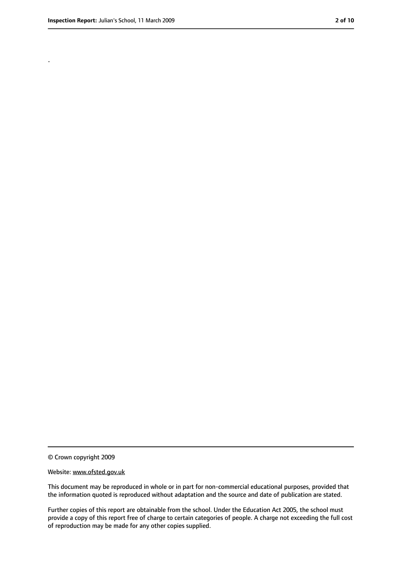.

<sup>©</sup> Crown copyright 2009

Website: www.ofsted.gov.uk

This document may be reproduced in whole or in part for non-commercial educational purposes, provided that the information quoted is reproduced without adaptation and the source and date of publication are stated.

Further copies of this report are obtainable from the school. Under the Education Act 2005, the school must provide a copy of this report free of charge to certain categories of people. A charge not exceeding the full cost of reproduction may be made for any other copies supplied.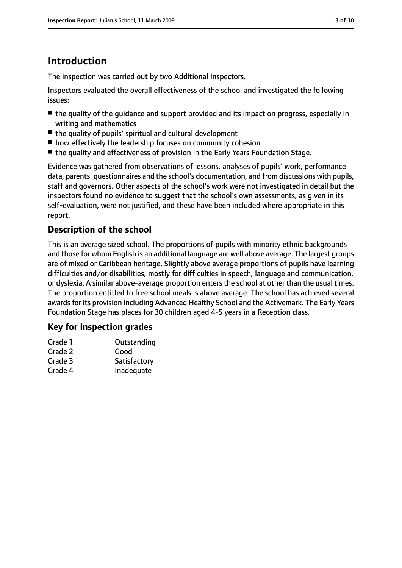# **Introduction**

The inspection was carried out by two Additional Inspectors.

Inspectors evaluated the overall effectiveness of the school and investigated the following issues:

- the quality of the quidance and support provided and its impact on progress, especially in writing and mathematics
- the quality of pupils' spiritual and cultural development
- how effectively the leadership focuses on community cohesion
- the quality and effectiveness of provision in the Early Years Foundation Stage.

Evidence was gathered from observations of lessons, analyses of pupils' work, performance data, parents' questionnaires and the school's documentation, and from discussions with pupils, staff and governors. Other aspects of the school's work were not investigated in detail but the inspectors found no evidence to suggest that the school's own assessments, as given in its self-evaluation, were not justified, and these have been included where appropriate in this report.

### **Description of the school**

This is an average sized school. The proportions of pupils with minority ethnic backgrounds and those for whom English is an additional language are well above average. The largest groups are of mixed or Caribbean heritage. Slightly above average proportions of pupils have learning difficulties and/or disabilities, mostly for difficulties in speech, language and communication, or dyslexia. A similar above-average proportion enters the school at other than the usual times. The proportion entitled to free school meals is above average. The school has achieved several awards for its provision including Advanced Healthy School and the Activemark. The Early Years Foundation Stage has places for 30 children aged 4-5 years in a Reception class.

#### **Key for inspection grades**

| Grade 1 | Outstanding  |
|---------|--------------|
| Grade 2 | Good         |
| Grade 3 | Satisfactory |
| Grade 4 | Inadequate   |
|         |              |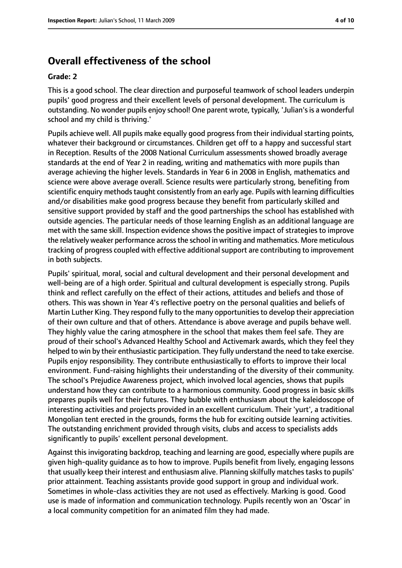## **Overall effectiveness of the school**

#### **Grade: 2**

This is a good school. The clear direction and purposeful teamwork of school leaders underpin pupils' good progress and their excellent levels of personal development. The curriculum is outstanding. No wonder pupils enjoy school! One parent wrote, typically, 'Julian'sis a wonderful school and my child is thriving.'

Pupils achieve well. All pupils make equally good progress from their individual starting points, whatever their background or circumstances. Children get off to a happy and successful start in Reception. Results of the 2008 National Curriculum assessments showed broadly average standards at the end of Year 2 in reading, writing and mathematics with more pupils than average achieving the higher levels. Standards in Year 6 in 2008 in English, mathematics and science were above average overall. Science results were particularly strong, benefiting from scientific enquiry methods taught consistently from an early age. Pupils with learning difficulties and/or disabilities make good progress because they benefit from particularly skilled and sensitive support provided by staff and the good partnerships the school has established with outside agencies. The particular needs of those learning English as an additional language are met with the same skill. Inspection evidence shows the positive impact of strategies to improve the relatively weaker performance acrossthe school in writing and mathematics. More meticulous tracking of progress coupled with effective additional support are contributing to improvement in both subjects.

Pupils' spiritual, moral, social and cultural development and their personal development and well-being are of a high order. Spiritual and cultural development is especially strong. Pupils think and reflect carefully on the effect of their actions, attitudes and beliefs and those of others. This was shown in Year 4's reflective poetry on the personal qualities and beliefs of Martin Luther King. They respond fully to the many opportunitiesto develop their appreciation of their own culture and that of others. Attendance is above average and pupils behave well. They highly value the caring atmosphere in the school that makes them feel safe. They are proud of their school's Advanced Healthy School and Activemark awards, which they feel they helped to win by their enthusiastic participation. They fully understand the need to take exercise. Pupils enjoy responsibility. They contribute enthusiastically to efforts to improve their local environment. Fund-raising highlights their understanding of the diversity of their community. The school's Prejudice Awareness project, which involved local agencies, shows that pupils understand how they can contribute to a harmonious community. Good progress in basic skills prepares pupils well for their futures. They bubble with enthusiasm about the kaleidoscope of interesting activities and projects provided in an excellent curriculum. Their 'yurt', a traditional Mongolian tent erected in the grounds, forms the hub for exciting outside learning activities. The outstanding enrichment provided through visits, clubs and access to specialists adds significantly to pupils' excellent personal development.

Against this invigorating backdrop, teaching and learning are good, especially where pupils are given high-quality guidance as to how to improve. Pupils benefit from lively, engaging lessons that usually keep their interest and enthusiasm alive. Planning skilfully matches tasks to pupils' prior attainment. Teaching assistants provide good support in group and individual work. Sometimes in whole-class activities they are not used as effectively. Marking is good. Good use is made of information and communication technology. Pupils recently won an 'Oscar' in a local community competition for an animated film they had made.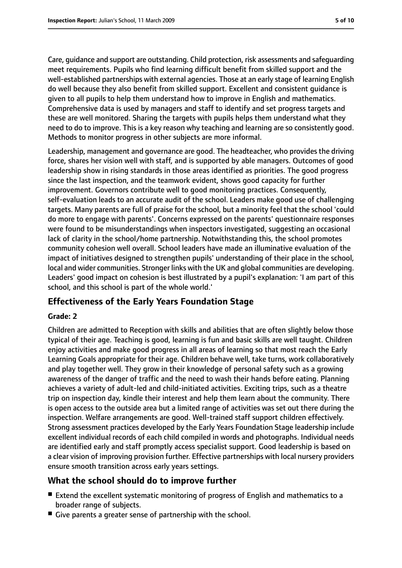Care, guidance and support are outstanding. Child protection, risk assessments and safeguarding meet requirements. Pupils who find learning difficult benefit from skilled support and the well-established partnerships with external agencies. Those at an early stage of learning English do well because they also benefit from skilled support. Excellent and consistent guidance is given to all pupils to help them understand how to improve in English and mathematics. Comprehensive data is used by managers and staff to identify and set progress targets and these are well monitored. Sharing the targets with pupils helps them understand what they need to do to improve. This is a key reason why teaching and learning are so consistently good. Methods to monitor progress in other subjects are more informal.

Leadership, management and governance are good. The headteacher, who provides the driving force, shares her vision well with staff, and is supported by able managers. Outcomes of good leadership show in rising standards in those areas identified as priorities. The good progress since the last inspection, and the teamwork evident, shows good capacity for further improvement. Governors contribute well to good monitoring practices. Consequently, self-evaluation leads to an accurate audit of the school. Leaders make good use of challenging targets. Many parents are full of praise for the school, but a minority feel that the school 'could do more to engage with parents'. Concerns expressed on the parents' questionnaire responses were found to be misunderstandings when inspectors investigated, suggesting an occasional lack of clarity in the school/home partnership. Notwithstanding this, the school promotes community cohesion well overall. School leaders have made an illuminative evaluation of the impact of initiatives designed to strengthen pupils' understanding of their place in the school, local and wider communities. Stronger links with the UK and global communities are developing. Leaders' good impact on cohesion is best illustrated by a pupil's explanation: 'I am part of this school, and this school is part of the whole world.'

#### **Effectiveness of the Early Years Foundation Stage**

#### **Grade: 2**

Children are admitted to Reception with skills and abilities that are often slightly below those typical of their age. Teaching is good, learning is fun and basic skills are well taught. Children enjoy activities and make good progress in all areas of learning so that most reach the Early Learning Goals appropriate for their age. Children behave well, take turns, work collaboratively and play together well. They grow in their knowledge of personal safety such as a growing awareness of the danger of traffic and the need to wash their hands before eating. Planning achieves a variety of adult-led and child-initiated activities. Exciting trips, such as a theatre trip on inspection day, kindle their interest and help them learn about the community. There is open access to the outside area but a limited range of activities was set out there during the inspection. Welfare arrangements are good. Well-trained staff support children effectively. Strong assessment practices developed by the Early Years Foundation Stage leadership include excellent individual records of each child compiled in words and photographs. Individual needs are identified early and staff promptly access specialist support. Good leadership is based on a clear vision of improving provision further. Effective partnerships with local nursery providers ensure smooth transition across early years settings.

#### **What the school should do to improve further**

- Extend the excellent systematic monitoring of progress of English and mathematics to a broader range of subjects.
- Give parents a greater sense of partnership with the school.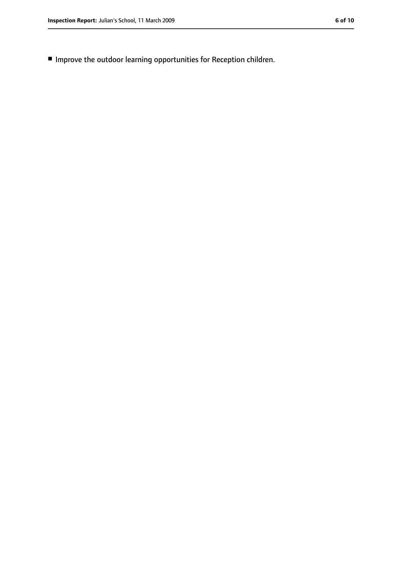■ Improve the outdoor learning opportunities for Reception children.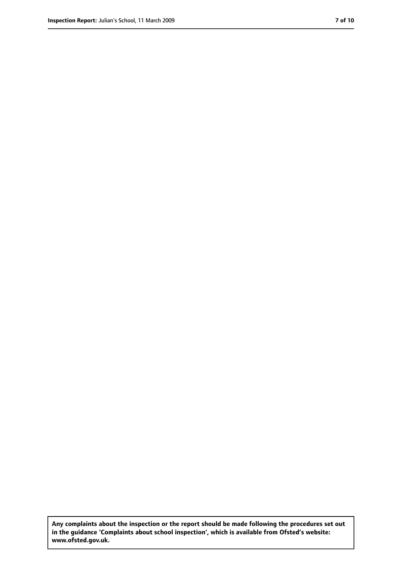**Any complaints about the inspection or the report should be made following the procedures set out in the guidance 'Complaints about school inspection', which is available from Ofsted's website: www.ofsted.gov.uk.**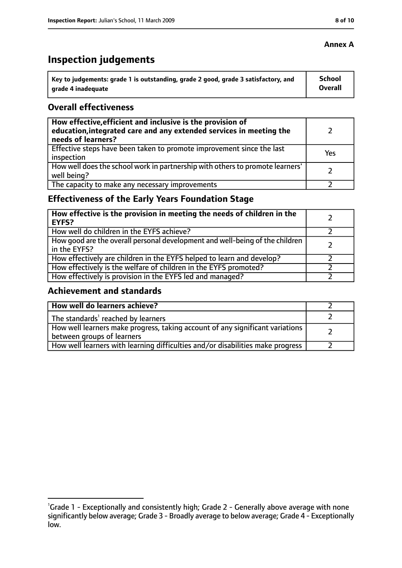# **Inspection judgements**

| Key to judgements: grade 1 is outstanding, grade 2 good, grade 3 satisfactory, and | <b>School</b> |
|------------------------------------------------------------------------------------|---------------|
| l  arade 4 inadeguate                                                              | Overall       |

#### **Overall effectiveness**

| How effective, efficient and inclusive is the provision of<br>education, integrated care and any extended services in meeting the<br>needs of learners? |     |
|---------------------------------------------------------------------------------------------------------------------------------------------------------|-----|
| Effective steps have been taken to promote improvement since the last<br>inspection                                                                     | Yes |
| How well does the school work in partnership with others to promote learners'<br>well being?                                                            |     |
| The capacity to make any necessary improvements                                                                                                         |     |

## **Effectiveness of the Early Years Foundation Stage**

| How effective is the provision in meeting the needs of children in the<br><b>EYFS?</b>       |  |
|----------------------------------------------------------------------------------------------|--|
| How well do children in the EYFS achieve?                                                    |  |
| How good are the overall personal development and well-being of the children<br>in the EYFS? |  |
| How effectively are children in the EYFS helped to learn and develop?                        |  |
| How effectively is the welfare of children in the EYFS promoted?                             |  |
| How effectively is provision in the EYFS led and managed?                                    |  |

#### **Achievement and standards**

| How well do learners achieve?                                                                               |  |
|-------------------------------------------------------------------------------------------------------------|--|
| The standards <sup>1</sup> reached by learners                                                              |  |
| How well learners make progress, taking account of any significant variations<br>between groups of learners |  |
| How well learners with learning difficulties and/or disabilities make progress                              |  |

#### **Annex A**

<sup>&</sup>lt;sup>1</sup>Grade 1 - Exceptionally and consistently high; Grade 2 - Generally above average with none significantly below average; Grade 3 - Broadly average to below average; Grade 4 - Exceptionally low.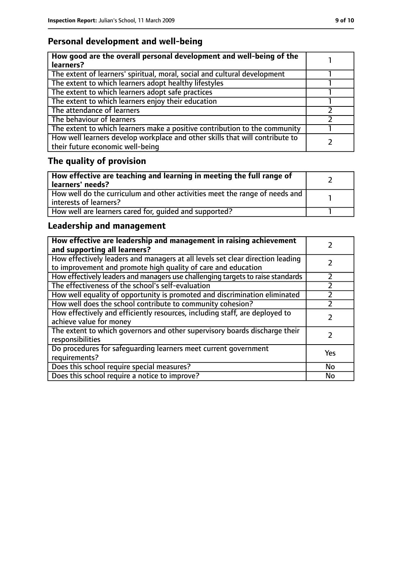## **Personal development and well-being**

| How good are the overall personal development and well-being of the<br>learners?                                 |  |
|------------------------------------------------------------------------------------------------------------------|--|
| The extent of learners' spiritual, moral, social and cultural development                                        |  |
| The extent to which learners adopt healthy lifestyles                                                            |  |
| The extent to which learners adopt safe practices                                                                |  |
| The extent to which learners enjoy their education                                                               |  |
| The attendance of learners                                                                                       |  |
| The behaviour of learners                                                                                        |  |
| The extent to which learners make a positive contribution to the community                                       |  |
| How well learners develop workplace and other skills that will contribute to<br>their future economic well-being |  |

# **The quality of provision**

| How effective are teaching and learning in meeting the full range of<br>learners' needs?              |  |
|-------------------------------------------------------------------------------------------------------|--|
| How well do the curriculum and other activities meet the range of needs and<br>interests of learners? |  |
| How well are learners cared for, quided and supported?                                                |  |

## **Leadership and management**

| How effective are leadership and management in raising achievement<br>and supporting all learners?                                              |           |
|-------------------------------------------------------------------------------------------------------------------------------------------------|-----------|
| How effectively leaders and managers at all levels set clear direction leading<br>to improvement and promote high quality of care and education |           |
| How effectively leaders and managers use challenging targets to raise standards                                                                 | フ         |
| The effectiveness of the school's self-evaluation                                                                                               |           |
| How well equality of opportunity is promoted and discrimination eliminated                                                                      |           |
| How well does the school contribute to community cohesion?                                                                                      |           |
| How effectively and efficiently resources, including staff, are deployed to<br>achieve value for money                                          |           |
| The extent to which governors and other supervisory boards discharge their<br>responsibilities                                                  |           |
| Do procedures for safequarding learners meet current government<br>requirements?                                                                | Yes       |
| Does this school require special measures?                                                                                                      | <b>No</b> |
| Does this school require a notice to improve?                                                                                                   | No        |